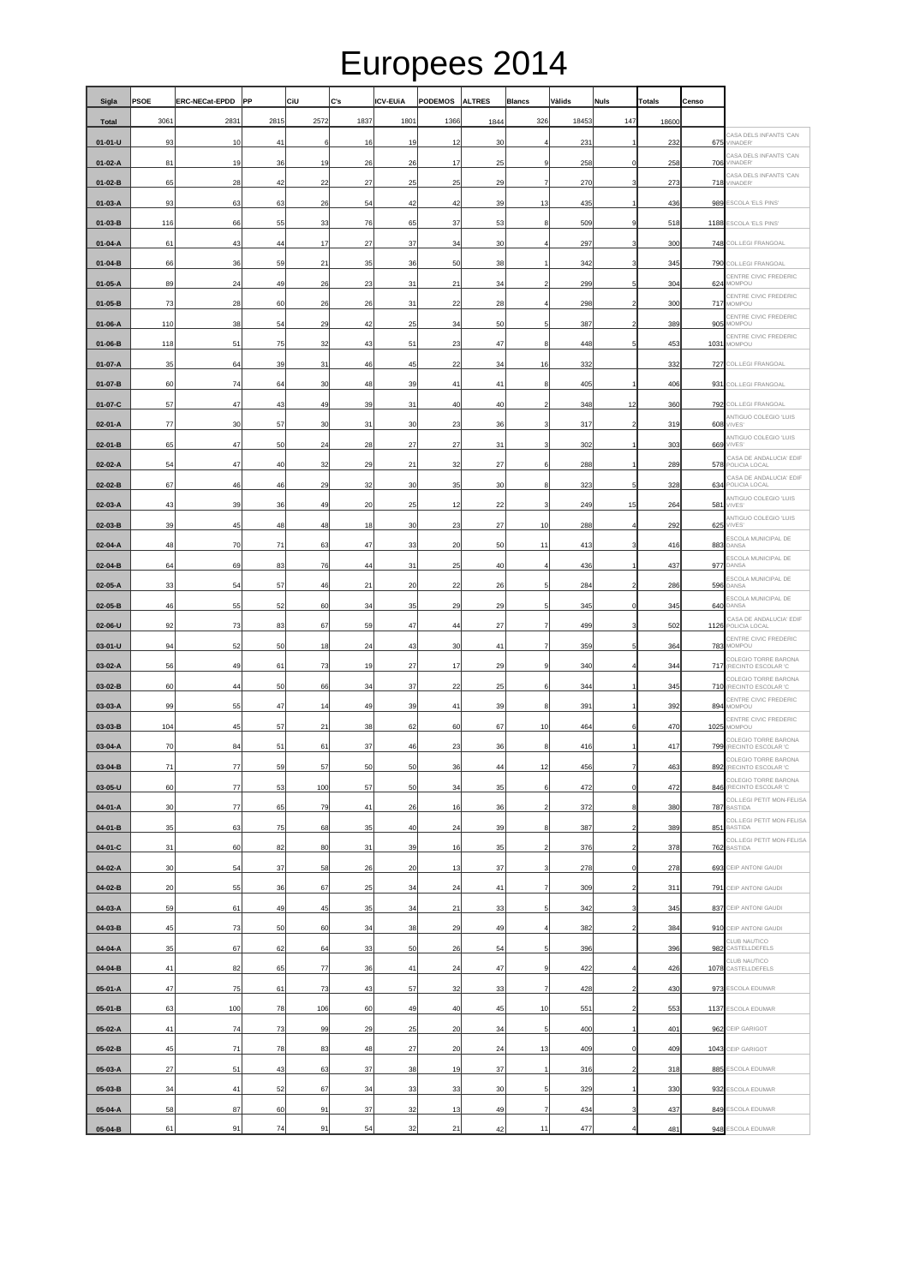## Europees 2014

| Sigla              | <b>PSOE</b> | <b>ERC-NECat-EPDD</b> | PP       | CiU      | C's      | <b>ICV-EUIA</b> | <b>PODEMOS</b>  | <b>ALTRES</b> | <b>Blancs</b>            | Vàlids     | <b>Nuls</b>             | Totals     | Censo      |                                                                            |
|--------------------|-------------|-----------------------|----------|----------|----------|-----------------|-----------------|---------------|--------------------------|------------|-------------------------|------------|------------|----------------------------------------------------------------------------|
| <b>Total</b>       | 3061        | 2831                  | 2815     | 2572     | 1837     | 1801            | 1366            | 1844          | 326                      | 18453      | 147                     | 18600      |            |                                                                            |
| $01 - 01 - U$      | 93          | 10                    | 41       | f        | 16       | 19              | 12              | 30            | 4                        | 231        |                         | 232        | 675        | CASA DELS INFANTS 'CAN<br>VINADER'                                         |
| $01-02-A$          | 81          | 19                    | 36       | 19       | 26       | 26              | 17              | 25            | 9                        | 258        | $\Omega$                | 258        | 706        | CASA DELS INFANTS 'CAN<br>VINADER'                                         |
| 01-02-B            | 65          | 28                    | 42       | 22       | 27       | 25              | 25              | 29            | 7                        | 270        |                         | 273        |            | CASA DELS INFANTS 'CAN<br>718 VINADER'                                     |
| 01-03-A            | 93          | 63                    | 63       | 26       | 54       | 42              | 42              | 39            | 13                       | 435        |                         | 436        |            | 989 ESCOLA 'ELS PINS'                                                      |
| 01-03-B            | 116         | 66                    | 55       | 33       | 76       | 65              | 37              | 53            | 8                        | 509        | 9                       | 518        |            | 1188 ESCOLA 'ELS PINS'                                                     |
| $01 - 04 - A$      | 61          | 43                    | 44       | 17       | 27       | 37              | 34              | 30            | 4                        | 297        |                         | 300        |            | 748 COL.LEGI FRANGOAL                                                      |
| $01 - 04 - B$      | 66          | 36                    | 59       | 21       | 35       | 36              | 50              | 38            | 1                        | 342        | 3                       | 345        |            | 790 COL.LEGI FRANGOAL                                                      |
| 01-05-A            | 89          | 24                    | 49       | 26       | 23       | 31              | 21              | 34            | $\overline{\mathbf{c}}$  | 299        |                         | 304        |            | CENTRE CIVIC FREDERIC<br>624 MOMPOU                                        |
| 01-05-B            | 73          | 28                    | 60       | 26       | 26       | 31              | $\overline{22}$ | 28            | $\overline{4}$           | 298        |                         | 300        |            | CENTRE CIVIC FREDERIC<br>717 MOMPOU                                        |
| 01-06-A            | 110         | 38                    | 54       | 29       | 42       | 25              | 34              | 50            | 5                        | 387        | $\overline{\mathbf{c}}$ | 389        | 905        | CENTRE CIVIC FREDERIC<br>MOMPOU                                            |
| 01-06-B            | 118         | 51                    | 75       | 32       | 43       | 51              | 23              | 47            | 8                        | 448        | 5                       | 453        |            | CENTRE CIVIC FREDERIC<br>1031 MOMPOU                                       |
| 01-07-A            | 35          | 64                    | 39       | 31       | 46       | 45              | 22              | 34            | 16                       | 332        |                         | 332        |            | 727 COL.LEGI FRANGOAL                                                      |
| 01-07-B            | 60          | 74                    | 64       | 30       | 48       | 39              | 41              | 41            | 8                        | 405        |                         | 406        |            | 931 COL.LEGI FRANGOAL                                                      |
| 01-07-C            | 57          | 47                    | 43       | 49       | 39       | 31              | 40              | 40            | $\overline{\mathbf{c}}$  | 348        | 12                      | 360        |            | 792 COL.LEGI FRANGOAL                                                      |
| $02-01-A$          | 77          | 30                    | 57       | 30       | 31       | 30              | 23              | 36            | 3                        | 317        | $\overline{\mathbf{c}}$ | 319        |            | ANTIGUO COLEGIO 'LUIS<br><b>608 VIVES</b>                                  |
| 02-01-B            | 65          | 47                    | 50       | 24       | 28       | 27              | 27              | 31            | $\mathbf{3}$             | 302        |                         | 303        |            | ANTIGUO COLEGIO 'LUIS<br>669 VIVES                                         |
| 02-02-A            | 54          | 47                    | 40       | 32       | 29       | 21              | 32              | 27            | 6                        | 288        |                         | 289        |            | CASA DE ANDALUCIA' EDIF<br>578 POLICIA LOCAL                               |
| 02-02-B            | 67          | 46                    | 46       | 29       | 32       | 30              | 35              | 30            | 8                        | 323        | 5                       | 328        |            | CASA DE ANDALUCIA' EDIF<br>634 POLICIA LOCAL                               |
| 02-03-A            | 43          | 39                    | 36       | 49       | 20       | 25              | 12              | 22            | 3                        | 249        | 15                      | 264        |            | ANTIGUO COLEGIO 'LUIS<br>581 VIVES                                         |
| 02-03-B            | 39          | 45                    | 48       | 48       | 18       | 30              | 23              | 27            | 10                       |            | $\overline{4}$          | 292        |            | ANTIGUO COLEGIO 'LUIS<br>625 VIVES                                         |
|                    |             | 70                    | 71       |          | 47       | 33              | 20              |               | 11                       | 288        |                         |            |            | ESCOLA MUNICIPAL DE<br>DANSA                                               |
| 02-04-A<br>02-04-B | 48<br>64    | 69                    | 83       | 63<br>76 | 44       | 31              | 25              | 50<br>40      | 4                        | 413<br>436 |                         | 416<br>437 | 883<br>977 | <b>ESCOLA MUNICIPAL DE</b>                                                 |
|                    | 33          | 54                    | 57       | 46       | 21       | 20              |                 | 26            |                          | 284        |                         | 286        |            | DANSA<br>ESCOLA MUNICIPAL DE                                               |
| 02-05-A            |             |                       |          |          |          |                 | 22              |               | 5                        |            |                         |            | 596        | DANSA<br>ESCOLA MUNICIPAL DE                                               |
| 02-05-B            | 46          | 55                    | 52       | 60       | 34       | 35              | 29              | 29            | $\sqrt{5}$               | 345        | 0<br>3                  | 345        | 640        | DANSA<br>CASA DE ANDALUCIA' EDIF<br>POLICIA LOCAL                          |
| 02-06-U            | 92          | 73                    | 83       | 67       | 59       | 47              | 44<br>30        | 27            | $\overline{\phantom{a}}$ | 499        |                         | 502        | 1126       | CENTRE CIVIC FREDERIC                                                      |
| 03-01-U            | 94<br>56    | 52<br>49              | 50<br>61 | 18<br>73 | 24<br>19 | 43<br>27        | 17              | 41<br>29      | 7<br>9                   | 359<br>340 |                         | 364<br>344 |            | 783 MOMPOU<br>COLEGIO TORRE BARONA                                         |
| 03-02-A            |             |                       |          |          |          |                 |                 |               |                          |            |                         |            |            | 717 (RECINTO ESCOLAR 'C<br>COLEGIO TORRE BARONA<br>710 (RECINTO ESCOLAR 'C |
| 03-02-B            | 60          | 44                    | 50       | 66       | 34       | 37              | 22              | 25            | 6                        | 344        |                         | 345        |            | CENTRE CIVIC FREDERIC                                                      |
| 03-03-A            | 99          | 55                    | 47       | 14       | 49       | 39              | 41              | 39            | 8                        | 391        |                         | 392        |            | 894 MOMPOU<br>CENTRE CIVIC FREDERIC                                        |
| 03-03-B            | 104         | 45                    | 57       | 21       | 38       | 62              | 60              | 67            | 10                       | 464        | 6                       | 470        | 1025       | MOMPOU<br>COLEGIO TORRE BARONA                                             |
| 03-04-A            | 70          | 84                    | 51       | 61       | 37       | 46              | 23              | 36            | 8                        | 416        |                         | 417        | 799        | (RECINTO ESCOLAR 'C<br>COLEGIO TORRE BARONA                                |
| 03-04-B            | 71          | 77                    | 59       | 57       | 50       | 50              | 36              | 44            | 12                       | 456        | 7                       | 463        |            | 892 (RECINTO ESCOLAR 'C<br>COLEGIO TORRE BARONA                            |
| 03-05-U            | 60          | 77                    | 53       | 100      | 57       | 50              | 34              | 35            | 6                        | 472        |                         | 472        |            | 846 (RECINTO ESCOLAR 'C<br>COL.LEGI PETIT MON-FELISA                       |
| 04-01-A            | 30          | 77                    | 65       | 79       | 41       | 26              | 16              | 36            | $\overline{a}$           | 372        | 8                       | 380        |            | 787 BASTIDA<br>COL.LEGI PETIT MON-FELISA                                   |
| 04-01-B            | 35          | 63                    | 75       | 68       | 35       | 40              | 24              | 39            | 8                        | 387        | $\overline{\mathbf{c}}$ | 389        |            | 851 BASTIDA<br>COL.LEGI PETIT MON-FELISA                                   |
| 04-01-C            | 31          | 60                    | 82       | 80       | 31       | 39              | 16              | 35            | $\overline{a}$           | 376        | 2                       | 378        |            | 762 BASTIDA                                                                |
| 04-02-A            | 30          | 54                    | 37       | 58       | 26       | 20              | 13              | 37            | $\mathbf{3}$             | 278        | $\Omega$                | 278        |            | 693 CEIP ANTONI GAUDI                                                      |
| 04-02-B            | 20          | 55                    | 36       | 67       | 25       | 34              | 24              | 41            | $\overline{7}$           | 309        |                         | 311        |            | 791 CEIP ANTONI GAUDI                                                      |
| 04-03-A            | 59          | 61                    | 49       | 45       | 35       | 34              | 21              | 33            | $\sqrt{5}$               | 342        |                         | 345        |            | 837 CEIP ANTONI GAUDI                                                      |
| 04-03-B            | 45          | 73                    | 50       | 60       | 34       | 38              | 29              | 49            | 4                        | 382        | $\overline{\mathbf{c}}$ | 384        |            | 910 CEIP ANTONI GAUDI<br>CLUB NAUTICO                                      |
| 04-04-A            | 35          | 67                    | 62       | 64       | 33       | 50              | 26              | 54            | $\overline{5}$           | 396        |                         | 396        |            | 982 CASTELLDEFELS<br>CLUB NAUTICO                                          |
| 04-04-B            | 41          | 82                    | 65       | 77       | 36       | 41              | 24              | 47            | 9                        | 422        |                         | 426        |            | 1078 CASTELLDEFELS                                                         |
| 05-01-A            | 47          | 75                    | 61       | 73       | 43       | 57              | 32              | 33            | $\overline{7}$           | 428        | $\overline{2}$          | 430        |            | 973 ESCOLA EDUMAR                                                          |
| 05-01-B            | 63          | 100                   | 78       | 106      | 60       | 49              | 40              | 45            | 10                       | 551        | $\overline{c}$          | 553        |            | 1137 ESCOLA EDUMAR                                                         |
| 05-02-A            | 41          | 74                    | 73       | 99       | 29       | 25              | 20              | 34            | $5\phantom{.0}$          | 400        |                         | 401        |            | 962 CEIP GARIGOT                                                           |
| 05-02-B            | 45          | 71                    | 78       | 83       | 48       | 27              | 20              | 24            | 13                       | 409        | $\overline{0}$          | 409        |            | 1043 CEIP GARIGOT                                                          |
| 05-03-A            | 27          | 51                    | 43       | 63       | 37       | 38              | 19              | 37            | -1                       | 316        |                         | 318        |            | 885 ESCOLA EDUMAR                                                          |
| 05-03-B            | 34          | 41                    | 52       | 67       | 34       | 33              | 33              | 30            | $5\phantom{.0}$          | 329        |                         | 330        |            | 932 ESCOLA EDUMAR                                                          |
| 05-04-A            | 58          | 87                    | 60       | 91       | 37       | 32              | 13              | 49            | 7                        | 434        |                         | 437        |            | 849 ESCOLA EDUMAR                                                          |
| 05-04-B            | 61          | 91                    | 74       | 91       | 54       | 32              | 21              | 42            | 11                       | 477        | $\overline{4}$          | 481        |            | 948 ESCOLA EDUMAR                                                          |